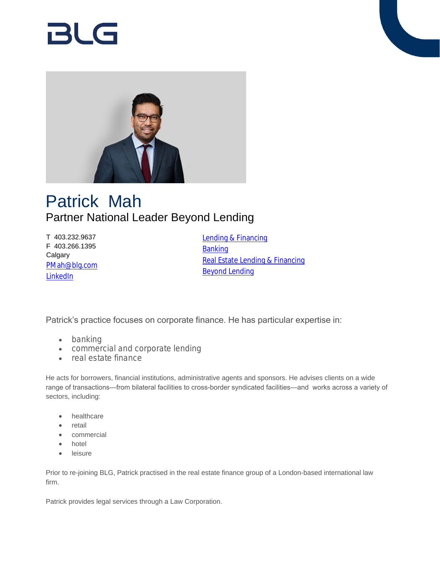# Bl G



# Patrick Mah Partner National Leader Beyond Lending

T 403.232.9637 F 403.266.1395 **Calgary** [PMah@blg.com](mailto:PMah@blg.com) [LinkedIn](https://www.linkedin.com/in/patrick-mah-09002150/)

[Lending & Financing](https://www.blg.com/en/services/practice-areas/banking-financial-services/lending-financing) [Banking](https://www.blg.com/en/services/industries/financial-services/banking) [Real Estate Lending & Financing](https://www.blg.com/en/services/practice-areas/commercial-real-estate/real-estate-lending-financing) [Beyond Lending](https://www.blg.com/en/services/blg-beyond/lending)

Patrick's practice focuses on corporate finance. He has particular expertise in:

- banking
- commercial and corporate lending
- real estate finance

He acts for borrowers, financial institutions, administrative agents and sponsors. He advises clients on a wide range of transactions—from bilateral facilities to cross-border syndicated facilities—and works across a variety of sectors, including:

- healthcare
- retail
- commercial
- hotel
- leisure

Prior to re-joining BLG, Patrick practised in the real estate finance group of a London-based international law firm.

Patrick provides legal services through a Law Corporation.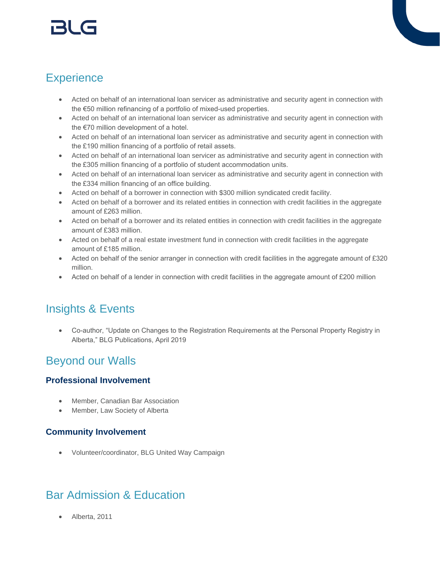# r3l G

# **Experience**

- Acted on behalf of an international loan servicer as administrative and security agent in connection with the €50 million refinancing of a portfolio of mixed-used properties.
- Acted on behalf of an international loan servicer as administrative and security agent in connection with the €70 million development of a hotel.
- Acted on behalf of an international loan servicer as administrative and security agent in connection with the £190 million financing of a portfolio of retail assets.
- Acted on behalf of an international loan servicer as administrative and security agent in connection with the £305 million financing of a portfolio of student accommodation units.
- Acted on behalf of an international loan servicer as administrative and security agent in connection with the £334 million financing of an office building.
- Acted on behalf of a borrower in connection with \$300 million syndicated credit facility.
- Acted on behalf of a borrower and its related entities in connection with credit facilities in the aggregate amount of £263 million.
- Acted on behalf of a borrower and its related entities in connection with credit facilities in the aggregate amount of £383 million.
- Acted on behalf of a real estate investment fund in connection with credit facilities in the aggregate amount of £185 million.
- Acted on behalf of the senior arranger in connection with credit facilities in the aggregate amount of £320 million.
- Acted on behalf of a lender in connection with credit facilities in the aggregate amount of £200 million

## Insights & Events

 Co-author, "Update on Changes to the Registration Requirements at the Personal Property Registry in Alberta," BLG Publications, April 2019

## Beyond our Walls

#### **Professional Involvement**

- Member, Canadian Bar Association
- Member, Law Society of Alberta

#### **Community Involvement**

Volunteer/coordinator, BLG United Way Campaign

# Bar Admission & Education

Alberta, 2011